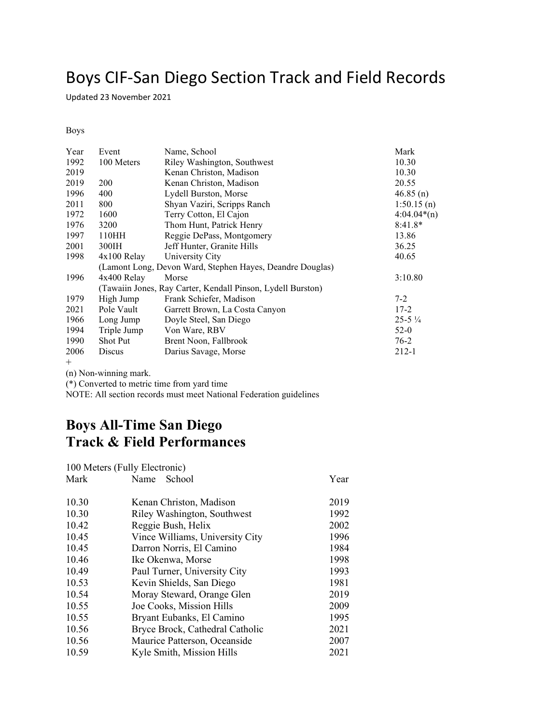# Boys CIF-San Diego Section Track and Field Records

Updated 23 November 2021

Boys

| Year   | Event         | Name, School                                                | Mark                |
|--------|---------------|-------------------------------------------------------------|---------------------|
| 1992   | 100 Meters    | Riley Washington, Southwest                                 | 10.30               |
| 2019   |               | Kenan Christon, Madison                                     | 10.30               |
| 2019   | <b>200</b>    | Kenan Christon, Madison                                     | 20.55               |
| 1996   | 400           | Lydell Burston, Morse                                       | 46.85(n)            |
| 2011   | 800           | Shyan Vaziri, Scripps Ranch                                 | 1:50.15(n)          |
| 1972   | 1600          | Terry Cotton, El Cajon                                      | $4:04.04*(n)$       |
| 1976   | 3200          | Thom Hunt, Patrick Henry                                    | $8:41.8*$           |
| 1997   | 110HH         | Reggie DePass, Montgomery                                   | 13.86               |
| 2001   | 300IH         | Jeff Hunter, Granite Hills                                  | 36.25               |
| 1998   | $4x100$ Relay | University City                                             | 40.65               |
|        |               | (Lamont Long, Devon Ward, Stephen Hayes, Deandre Douglas)   |                     |
| 1996   | $4x400$ Relay | Morse                                                       | 3:10.80             |
|        |               | (Tawaiin Jones, Ray Carter, Kendall Pinson, Lydell Burston) |                     |
| 1979   | High Jump     | Frank Schiefer, Madison                                     | $7-2$               |
| 2021   | Pole Vault    | Garrett Brown, La Costa Canyon                              | $17 - 2$            |
| 1966   | Long Jump     | Doyle Steel, San Diego                                      | $25 - 5\frac{1}{4}$ |
| 1994   | Triple Jump   | Von Ware, RBV                                               | $52-0$              |
| 1990   | Shot Put      | Brent Noon, Fallbrook                                       | $76-2$              |
| 2006   | Discus        | Darius Savage, Morse                                        | 212-1               |
| $^{+}$ |               |                                                             |                     |

(n) Non-winning mark.

(\*) Converted to metric time from yard time

NOTE: All section records must meet National Federation guidelines

## **Boys All-Time San Diego Track & Field Performances**

|       | 100 Meters (Fully Electronic)   |      |
|-------|---------------------------------|------|
| Mark  | Name School                     | Year |
|       |                                 |      |
| 10.30 | Kenan Christon, Madison         | 2019 |
| 10.30 | Riley Washington, Southwest     | 1992 |
| 10.42 | Reggie Bush, Helix              | 2002 |
| 10.45 | Vince Williams, University City | 1996 |
| 10.45 | Darron Norris, El Camino        | 1984 |
| 10.46 | Ike Okenwa, Morse               | 1998 |
| 10.49 | Paul Turner, University City    | 1993 |
| 10.53 | Kevin Shields, San Diego        | 1981 |
| 10.54 | Moray Steward, Orange Glen      | 2019 |
| 10.55 | Joe Cooks, Mission Hills        | 2009 |
| 10.55 | Bryant Eubanks, El Camino       | 1995 |
| 10.56 | Bryce Brock, Cathedral Catholic | 2021 |
| 10.56 | Maurice Patterson, Oceanside    | 2007 |
| 10.59 | Kyle Smith, Mission Hills       | 2021 |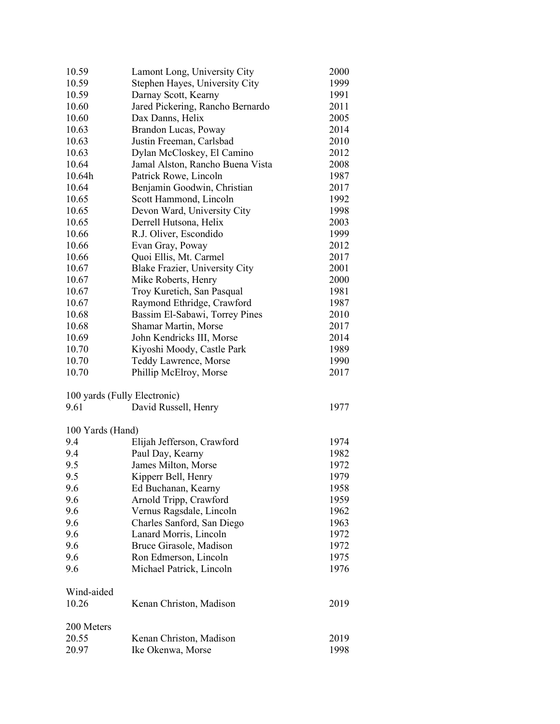| 10.59                        | Lamont Long, University City     | 2000 |
|------------------------------|----------------------------------|------|
| 10.59                        | Stephen Hayes, University City   | 1999 |
| 10.59                        | Darnay Scott, Kearny             | 1991 |
| 10.60                        | Jared Pickering, Rancho Bernardo | 2011 |
| 10.60                        | Dax Danns, Helix                 | 2005 |
| 10.63                        | Brandon Lucas, Poway             | 2014 |
| 10.63                        | Justin Freeman, Carlsbad         | 2010 |
| 10.63                        | Dylan McCloskey, El Camino       | 2012 |
| 10.64                        | Jamal Alston, Rancho Buena Vista | 2008 |
| 10.64h                       | Patrick Rowe, Lincoln            | 1987 |
| 10.64                        | Benjamin Goodwin, Christian      | 2017 |
| 10.65                        | Scott Hammond, Lincoln           | 1992 |
| 10.65                        | Devon Ward, University City      | 1998 |
| 10.65                        | Derrell Hutsona, Helix           | 2003 |
| 10.66                        | R.J. Oliver, Escondido           | 1999 |
| 10.66                        | Evan Gray, Poway                 | 2012 |
| 10.66                        | Quoi Ellis, Mt. Carmel           | 2017 |
| 10.67                        | Blake Frazier, University City   | 2001 |
| 10.67                        | Mike Roberts, Henry              | 2000 |
| 10.67                        | Troy Kuretich, San Pasqual       | 1981 |
| 10.67                        | Raymond Ethridge, Crawford       | 1987 |
| 10.68                        | Bassim El-Sabawi, Torrey Pines   | 2010 |
| 10.68                        | Shamar Martin, Morse             | 2017 |
| 10.69                        | John Kendricks III, Morse        | 2014 |
| 10.70                        | Kiyoshi Moody, Castle Park       | 1989 |
| 10.70                        | Teddy Lawrence, Morse            | 1990 |
| 10.70                        | Phillip McElroy, Morse           | 2017 |
|                              |                                  |      |
| 100 yards (Fully Electronic) |                                  |      |
| 9.61                         | David Russell, Henry             | 1977 |
|                              |                                  |      |
| 100 Yards (Hand)             |                                  |      |
| 9.4                          | Elijah Jefferson, Crawford       | 1974 |
| 9.4                          | Paul Day, Kearny                 | 1982 |
| 9.5                          | James Milton, Morse              | 1972 |
| 9.5                          | Kipperr Bell, Henry              | 1979 |
| 9.6                          | Ed Buchanan, Kearny              | 1958 |
| 9.6                          | Arnold Tripp, Crawford           | 1959 |
| 9.6                          | Vernus Ragsdale, Lincoln         | 1962 |
| 9.6                          | Charles Sanford, San Diego       | 1963 |
| 9.6                          | Lanard Morris, Lincoln           | 1972 |
| 9.6                          | Bruce Girasole, Madison          | 1972 |
| 9.6                          | Ron Edmerson, Lincoln            | 1975 |
| 9.6                          | Michael Patrick, Lincoln         | 1976 |
|                              |                                  |      |
| Wind-aided                   |                                  |      |
| 10.26                        | Kenan Christon, Madison          | 2019 |
|                              |                                  |      |
| 200 Meters                   |                                  |      |
| 20.55                        | Kenan Christon, Madison          | 2019 |
| 20.97                        | Ike Okenwa, Morse                | 1998 |
|                              |                                  |      |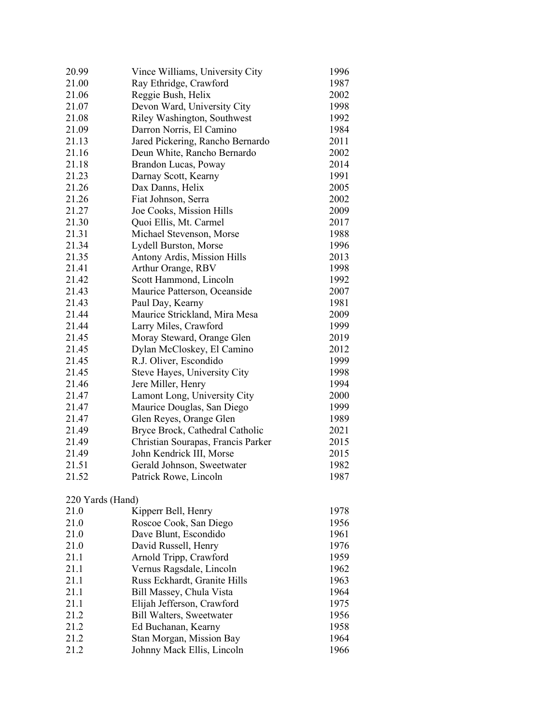| 20.99            | Vince Williams, University City    | 1996 |
|------------------|------------------------------------|------|
| 21.00            | Ray Ethridge, Crawford             | 1987 |
| 21.06            | Reggie Bush, Helix                 | 2002 |
| 21.07            | Devon Ward, University City        | 1998 |
| 21.08            | Riley Washington, Southwest        | 1992 |
| 21.09            | Darron Norris, El Camino           | 1984 |
| 21.13            | Jared Pickering, Rancho Bernardo   | 2011 |
| 21.16            | Deun White, Rancho Bernardo        | 2002 |
| 21.18            | Brandon Lucas, Poway               | 2014 |
| 21.23            | Darnay Scott, Kearny               | 1991 |
| 21.26            | Dax Danns, Helix                   | 2005 |
| 21.26            | Fiat Johnson, Serra                | 2002 |
| 21.27            | Joe Cooks, Mission Hills           | 2009 |
| 21.30            | Quoi Ellis, Mt. Carmel             | 2017 |
| 21.31            | Michael Stevenson, Morse           | 1988 |
| 21.34            | Lydell Burston, Morse              | 1996 |
| 21.35            | Antony Ardis, Mission Hills        | 2013 |
| 21.41            | Arthur Orange, RBV                 | 1998 |
| 21.42            | Scott Hammond, Lincoln             | 1992 |
| 21.43            | Maurice Patterson, Oceanside       | 2007 |
| 21.43            | Paul Day, Kearny                   | 1981 |
| 21.44            | Maurice Strickland, Mira Mesa      | 2009 |
| 21.44            | Larry Miles, Crawford              | 1999 |
| 21.45            | Moray Steward, Orange Glen         | 2019 |
| 21.45            | Dylan McCloskey, El Camino         | 2012 |
| 21.45            | R.J. Oliver, Escondido             | 1999 |
| 21.45            | Steve Hayes, University City       | 1998 |
| 21.46            | Jere Miller, Henry                 | 1994 |
| 21.47            | Lamont Long, University City       | 2000 |
| 21.47            | Maurice Douglas, San Diego         | 1999 |
| 21.47            | Glen Reyes, Orange Glen            | 1989 |
| 21.49            | Bryce Brock, Cathedral Catholic    | 2021 |
| 21.49            | Christian Sourapas, Francis Parker | 2015 |
| 21.49            | John Kendrick III, Morse           | 2015 |
| 21.51            | Gerald Johnson, Sweetwater         | 1982 |
| 21.52            | Patrick Rowe, Lincoln              | 1987 |
|                  |                                    |      |
| 220 Yards (Hand) |                                    |      |
| 21.0             | Kipperr Bell, Henry                | 1978 |
| 21.0             | Roscoe Cook, San Diego             | 1956 |
| 21.0             | Dave Blunt, Escondido              | 1961 |
| 21.0             | David Russell, Henry               | 1976 |
| 21.1             | Arnold Tripp, Crawford             | 1959 |
| 21.1             | Vernus Ragsdale, Lincoln           | 1962 |
| 21.1             | Russ Eckhardt, Granite Hills       | 1963 |
| 21.1             | Bill Massey, Chula Vista           | 1964 |
| 21.1             | Elijah Jefferson, Crawford         | 1975 |
| 21.2             | <b>Bill Walters, Sweetwater</b>    | 1956 |
| 21.2             | Ed Buchanan, Kearny                | 1958 |
| 21.2             | Stan Morgan, Mission Bay           | 1964 |
| 21.2             | Johnny Mack Ellis, Lincoln         | 1966 |
|                  |                                    |      |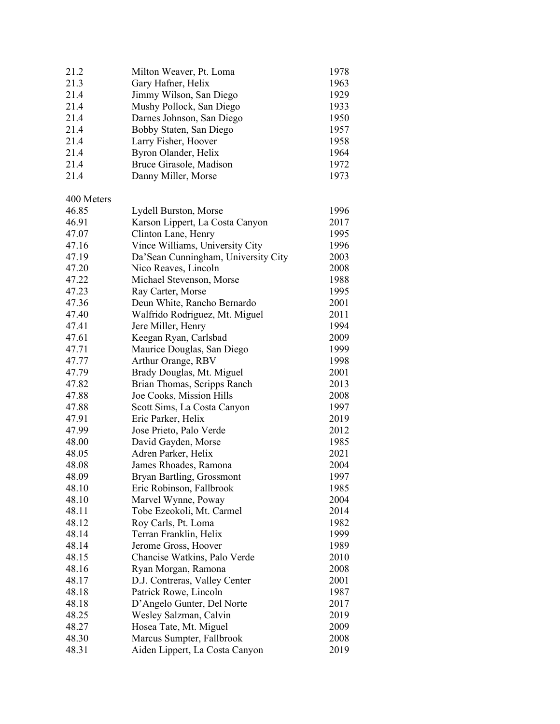| 21.2       | Milton Weaver, Pt. Loma             | 1978 |
|------------|-------------------------------------|------|
| 21.3       | Gary Hafner, Helix                  | 1963 |
| 21.4       | Jimmy Wilson, San Diego             | 1929 |
| 21.4       | Mushy Pollock, San Diego            | 1933 |
| 21.4       | Darnes Johnson, San Diego           | 1950 |
| 21.4       | Bobby Staten, San Diego             | 1957 |
| 21.4       | Larry Fisher, Hoover                | 1958 |
| 21.4       | Byron Olander, Helix                | 1964 |
| 21.4       | Bruce Girasole, Madison             | 1972 |
| 21.4       | Danny Miller, Morse                 | 1973 |
| 400 Meters |                                     |      |
| 46.85      | Lydell Burston, Morse               | 1996 |
| 46.91      | Karson Lippert, La Costa Canyon     | 2017 |
| 47.07      | Clinton Lane, Henry                 | 1995 |
| 47.16      | Vince Williams, University City     | 1996 |
| 47.19      | Da'Sean Cunningham, University City | 2003 |
| 47.20      | Nico Reaves, Lincoln                | 2008 |
| 47.22      | Michael Stevenson, Morse            | 1988 |
| 47.23      | Ray Carter, Morse                   | 1995 |
| 47.36      | Deun White, Rancho Bernardo         | 2001 |
| 47.40      | Walfrido Rodriguez, Mt. Miguel      | 2011 |
| 47.41      | Jere Miller, Henry                  | 1994 |
| 47.61      | Keegan Ryan, Carlsbad               | 2009 |
| 47.71      | Maurice Douglas, San Diego          | 1999 |
| 47.77      | Arthur Orange, RBV                  | 1998 |
| 47.79      | Brady Douglas, Mt. Miguel           | 2001 |
| 47.82      | Brian Thomas, Scripps Ranch         | 2013 |
| 47.88      | Joe Cooks, Mission Hills            | 2008 |
| 47.88      | Scott Sims, La Costa Canyon         | 1997 |
| 47.91      | Eric Parker, Helix                  | 2019 |
| 47.99      | Jose Prieto, Palo Verde             | 2012 |
| 48.00      | David Gayden, Morse                 | 1985 |
| 48.05      | Adren Parker, Helix                 | 2021 |
| 48.08      | James Rhoades, Ramona               | 2004 |
| 48.09      | Bryan Bartling, Grossmont           | 1997 |
| 48.10      | Eric Robinson, Fallbrook            | 1985 |
| 48.10      | Marvel Wynne, Poway                 | 2004 |
| 48.11      | Tobe Ezeokoli, Mt. Carmel           | 2014 |
| 48.12      | Roy Carls, Pt. Loma                 | 1982 |
| 48.14      | Terran Franklin, Helix              | 1999 |
| 48.14      | Jerome Gross, Hoover                | 1989 |
| 48.15      | Chancise Watkins, Palo Verde        | 2010 |
| 48.16      | Ryan Morgan, Ramona                 | 2008 |
| 48.17      | D.J. Contreras, Valley Center       | 2001 |
| 48.18      | Patrick Rowe, Lincoln               | 1987 |
| 48.18      | D'Angelo Gunter, Del Norte          | 2017 |
| 48.25      | Wesley Salzman, Calvin              | 2019 |
| 48.27      | Hosea Tate, Mt. Miguel              | 2009 |
| 48.30      | Marcus Sumpter, Fallbrook           | 2008 |
| 48.31      | Aiden Lippert, La Costa Canyon      | 2019 |
|            |                                     |      |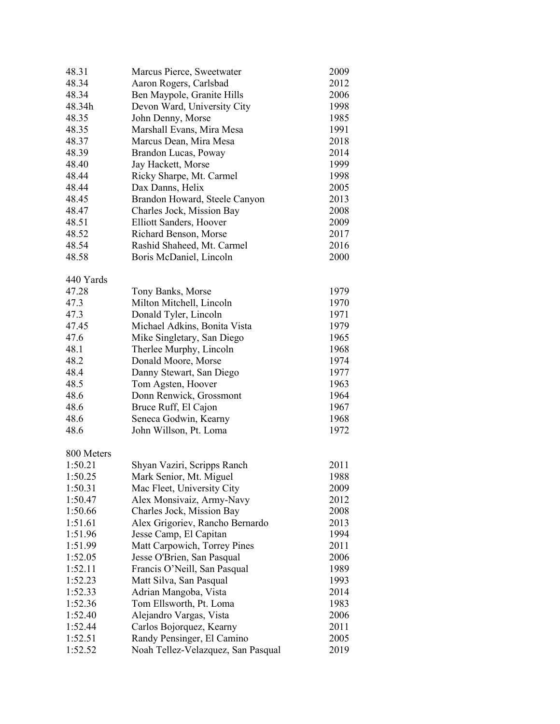| 48.31      | Marcus Pierce, Sweetwater          | 2009 |
|------------|------------------------------------|------|
| 48.34      | Aaron Rogers, Carlsbad             | 2012 |
| 48.34      | Ben Maypole, Granite Hills         | 2006 |
| 48.34h     | Devon Ward, University City        | 1998 |
| 48.35      | John Denny, Morse                  | 1985 |
| 48.35      | Marshall Evans, Mira Mesa          | 1991 |
| 48.37      | Marcus Dean, Mira Mesa             | 2018 |
| 48.39      | Brandon Lucas, Poway               | 2014 |
| 48.40      | Jay Hackett, Morse                 | 1999 |
| 48.44      | Ricky Sharpe, Mt. Carmel           | 1998 |
| 48.44      | Dax Danns, Helix                   | 2005 |
| 48.45      | Brandon Howard, Steele Canyon      | 2013 |
| 48.47      | Charles Jock, Mission Bay          | 2008 |
| 48.51      | Elliott Sanders, Hoover            | 2009 |
| 48.52      | Richard Benson, Morse              | 2017 |
| 48.54      | Rashid Shaheed, Mt. Carmel         | 2016 |
| 48.58      | Boris McDaniel, Lincoln            | 2000 |
|            |                                    |      |
| 440 Yards  |                                    |      |
| 47.28      | Tony Banks, Morse                  | 1979 |
| 47.3       | Milton Mitchell, Lincoln           | 1970 |
| 47.3       | Donald Tyler, Lincoln              | 1971 |
| 47.45      | Michael Adkins, Bonita Vista       | 1979 |
| 47.6       | Mike Singletary, San Diego         | 1965 |
| 48.1       | Therlee Murphy, Lincoln            | 1968 |
| 48.2       | Donald Moore, Morse                | 1974 |
| 48.4       | Danny Stewart, San Diego           | 1977 |
| 48.5       | Tom Agsten, Hoover                 | 1963 |
| 48.6       | Donn Renwick, Grossmont            | 1964 |
| 48.6       | Bruce Ruff, El Cajon               | 1967 |
| 48.6       | Seneca Godwin, Kearny              | 1968 |
| 48.6       | John Willson, Pt. Loma             | 1972 |
| 800 Meters |                                    |      |
| 1:50.21    | Shyan Vaziri, Scripps Ranch        | 2011 |
| 1:50.25    | Mark Senior, Mt. Miguel            | 1988 |
| 1:50.31    | Mac Fleet, University City         | 2009 |
| 1:50.47    | Alex Monsivaiz, Army-Navy          | 2012 |
| 1:50.66    | Charles Jock, Mission Bay          | 2008 |
| 1:51.61    | Alex Grigoriev, Rancho Bernardo    | 2013 |
| 1:51.96    | Jesse Camp, El Capitan             | 1994 |
| 1:51.99    | Matt Carpowich, Torrey Pines       | 2011 |
| 1:52.05    | Jesse O'Brien, San Pasqual         | 2006 |
| 1:52.11    | Francis O'Neill, San Pasqual       | 1989 |
| 1:52.23    | Matt Silva, San Pasqual            | 1993 |
| 1:52.33    | Adrian Mangoba, Vista              | 2014 |
| 1:52.36    | Tom Ellsworth, Pt. Loma            | 1983 |
| 1:52.40    | Alejandro Vargas, Vista            | 2006 |
| 1:52.44    | Carlos Bojorquez, Kearny           | 2011 |
| 1:52.51    | Randy Pensinger, El Camino         | 2005 |
| 1:52.52    | Noah Tellez-Velazquez, San Pasqual | 2019 |
|            |                                    |      |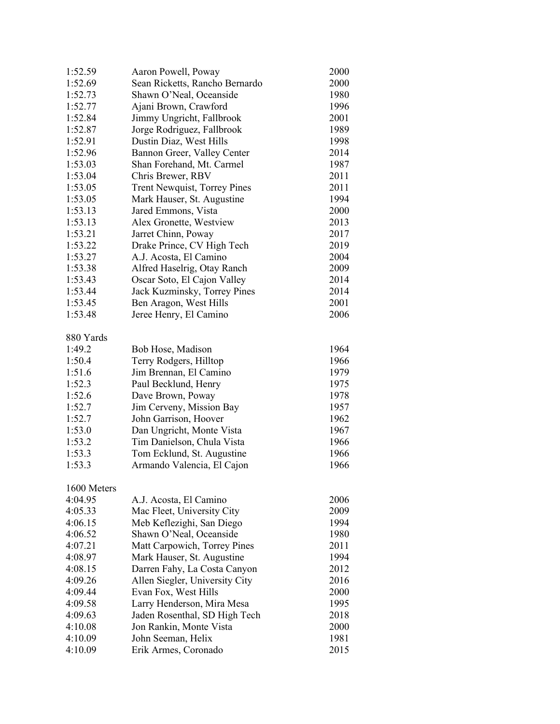| 1:52.59     | Aaron Powell, Poway            | 2000 |
|-------------|--------------------------------|------|
| 1:52.69     | Sean Ricketts, Rancho Bernardo | 2000 |
| 1:52.73     | Shawn O'Neal, Oceanside        | 1980 |
| 1:52.77     | Ajani Brown, Crawford          | 1996 |
| 1:52.84     | Jimmy Ungricht, Fallbrook      | 2001 |
| 1:52.87     | Jorge Rodriguez, Fallbrook     | 1989 |
| 1:52.91     | Dustin Diaz, West Hills        | 1998 |
| 1:52.96     | Bannon Greer, Valley Center    | 2014 |
| 1:53.03     | Shan Forehand, Mt. Carmel      | 1987 |
| 1:53.04     | Chris Brewer, RBV              | 2011 |
| 1:53.05     | Trent Newquist, Torrey Pines   | 2011 |
| 1:53.05     | Mark Hauser, St. Augustine     | 1994 |
| 1:53.13     | Jared Emmons, Vista            | 2000 |
| 1:53.13     | Alex Gronette, Westview        | 2013 |
| 1:53.21     | Jarret Chinn, Poway            | 2017 |
| 1:53.22     | Drake Prince, CV High Tech     | 2019 |
| 1:53.27     | A.J. Acosta, El Camino         | 2004 |
| 1:53.38     | Alfred Haselrig, Otay Ranch    | 2009 |
| 1:53.43     | Oscar Soto, El Cajon Valley    | 2014 |
| 1:53.44     | Jack Kuzminsky, Torrey Pines   | 2014 |
| 1:53.45     | Ben Aragon, West Hills         | 2001 |
| 1:53.48     | Jeree Henry, El Camino         | 2006 |
|             |                                |      |
| 880 Yards   |                                |      |
| 1:49.2      | Bob Hose, Madison              | 1964 |
| 1:50.4      | Terry Rodgers, Hilltop         | 1966 |
| 1:51.6      | Jim Brennan, El Camino         | 1979 |
| 1:52.3      | Paul Becklund, Henry           | 1975 |
| 1:52.6      | Dave Brown, Poway              | 1978 |
| 1:52.7      | Jim Cerveny, Mission Bay       | 1957 |
| 1:52.7      | John Garrison, Hoover          | 1962 |
| 1:53.0      | Dan Ungricht, Monte Vista      | 1967 |
| 1:53.2      | Tim Danielson, Chula Vista     | 1966 |
| 1:53.3      | Tom Ecklund, St. Augustine     | 1966 |
| 1:53.3      | Armando Valencia, El Cajon     | 1966 |
|             |                                |      |
| 1600 Meters |                                |      |
| 4:04.95     | A.J. Acosta, El Camino         | 2006 |
| 4:05.33     | Mac Fleet, University City     | 2009 |
| 4:06.15     | Meb Keflezighi, San Diego      | 1994 |
| 4:06.52     | Shawn O'Neal, Oceanside        | 1980 |
| 4:07.21     | Matt Carpowich, Torrey Pines   | 2011 |
| 4:08.97     | Mark Hauser, St. Augustine     | 1994 |
| 4:08.15     | Darren Fahy, La Costa Canyon   | 2012 |
| 4:09.26     | Allen Siegler, University City | 2016 |
| 4:09.44     | Evan Fox, West Hills           | 2000 |
| 4:09.58     | Larry Henderson, Mira Mesa     | 1995 |
| 4:09.63     | Jaden Rosenthal, SD High Tech  | 2018 |
| 4:10.08     | Jon Rankin, Monte Vista        | 2000 |
| 4:10.09     | John Seeman, Helix             | 1981 |
| 4:10.09     | Erik Armes, Coronado           | 2015 |
|             |                                |      |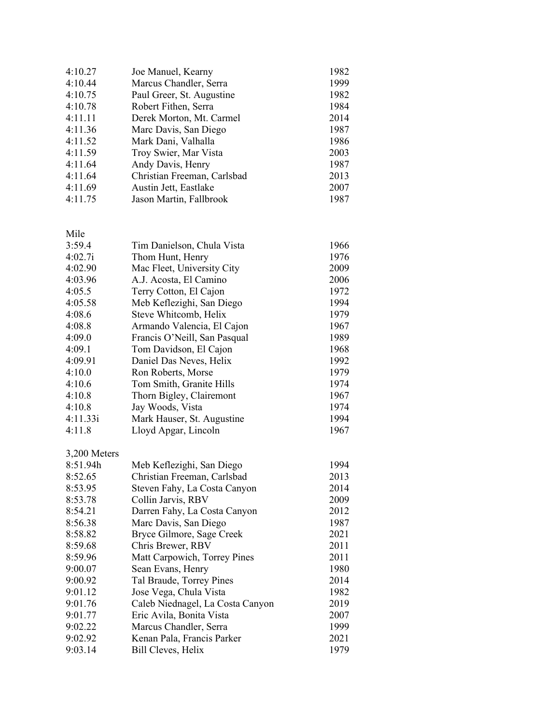| 4:10.27 | Joe Manuel, Kearny          | 1982 |
|---------|-----------------------------|------|
| 4:10.44 | Marcus Chandler, Serra      | 1999 |
| 4:10.75 | Paul Greer, St. Augustine   | 1982 |
| 4:10.78 | Robert Fithen, Serra        | 1984 |
| 4:11.11 | Derek Morton, Mt. Carmel    | 2014 |
| 4:11.36 | Marc Davis, San Diego       | 1987 |
| 4:11.52 | Mark Dani, Valhalla         | 1986 |
| 4:11.59 | Troy Swier, Mar Vista       | 2003 |
| 4:11.64 | Andy Davis, Henry           | 1987 |
| 4:11.64 | Christian Freeman, Carlsbad | 2013 |
| 4:11.69 | Austin Jett, Eastlake       | 2007 |
| 4:11.75 | Jason Martin, Fallbrook     | 1987 |
|         |                             |      |

Mile

| 3:59.4       | Tim Danielson, Chula Vista   | 1966 |
|--------------|------------------------------|------|
| 4:02.7i      | Thom Hunt, Henry             | 1976 |
| 4:02.90      | Mac Fleet, University City   | 2009 |
| 4:03.96      | A.J. Acosta, El Camino       | 2006 |
| 4:05.5       | Terry Cotton, El Cajon       | 1972 |
| 4:05.58      | Meb Keflezighi, San Diego    | 1994 |
| 4:08.6       | Steve Whitcomb, Helix        | 1979 |
| 4:08.8       | Armando Valencia, El Cajon   | 1967 |
| 4:09.0       | Francis O'Neill, San Pasqual | 1989 |
| 4:09.1       | Tom Davidson, El Cajon       | 1968 |
| 4:09.91      | Daniel Das Neves, Helix      | 1992 |
| 4:10.0       | Ron Roberts, Morse           | 1979 |
| 4:10.6       | Tom Smith, Granite Hills     | 1974 |
| 4:10.8       | Thorn Bigley, Clairemont     | 1967 |
| 4:10.8       | Jay Woods, Vista             | 1974 |
| 4:11.33i     | Mark Hauser, St. Augustine   | 1994 |
| 4:11.8       | Lloyd Apgar, Lincoln         | 1967 |
| 3,200 Meters |                              |      |

| Meb Keflezighi, San Diego        | 1994 |
|----------------------------------|------|
| Christian Freeman, Carlsbad      | 2013 |
| Steven Fahy, La Costa Canyon     | 2014 |
| Collin Jarvis, RBV               | 2009 |
| Darren Fahy, La Costa Canyon     | 2012 |
| Marc Davis, San Diego            | 1987 |
| Bryce Gilmore, Sage Creek        | 2021 |
| Chris Brewer, RBV                | 2011 |
| Matt Carpowich, Torrey Pines     | 2011 |
| Sean Evans, Henry                | 1980 |
| Tal Braude, Torrey Pines         | 2014 |
| Jose Vega, Chula Vista           | 1982 |
| Caleb Niednagel, La Costa Canyon | 2019 |
| Eric Avila, Bonita Vista         | 2007 |
| Marcus Chandler, Serra           | 1999 |
| Kenan Pala, Francis Parker       | 2021 |
| Bill Cleves, Helix               | 1979 |
|                                  |      |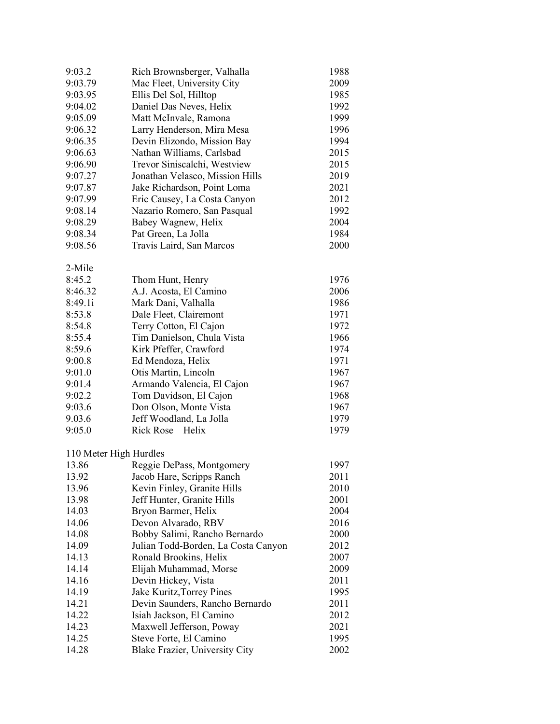| 9:03.2                          | Rich Brownsberger, Valhalla                                 | 1988         |
|---------------------------------|-------------------------------------------------------------|--------------|
| 9:03.79                         | Mac Fleet, University City                                  | 2009         |
| 9:03.95                         | Ellis Del Sol, Hilltop                                      | 1985         |
| 9:04.02                         | Daniel Das Neves, Helix                                     | 1992         |
| 9:05.09                         | Matt McInvale, Ramona                                       | 1999         |
| 9:06.32                         | Larry Henderson, Mira Mesa                                  | 1996         |
| 9:06.35                         | Devin Elizondo, Mission Bay                                 | 1994         |
| 9:06.63                         | Nathan Williams, Carlsbad                                   | 2015         |
| 9:06.90                         | Trevor Siniscalchi, Westview                                | 2015         |
| 9:07.27                         | Jonathan Velasco, Mission Hills                             | 2019         |
| 9:07.87                         | Jake Richardson, Point Loma                                 | 2021         |
| 9:07.99                         | Eric Causey, La Costa Canyon                                | 2012         |
| 9:08.14                         | Nazario Romero, San Pasqual                                 | 1992         |
| 9:08.29                         | Babey Wagnew, Helix                                         | 2004         |
| 9:08.34                         | Pat Green, La Jolla                                         | 1984         |
| 9:08.56                         | Travis Laird, San Marcos                                    | 2000         |
|                                 |                                                             |              |
| 2-Mile                          |                                                             |              |
| 8:45.2                          | Thom Hunt, Henry                                            | 1976         |
| 8:46.32                         | A.J. Acosta, El Camino                                      | 2006         |
| 8:49.1i                         | Mark Dani, Valhalla                                         | 1986         |
| 8:53.8                          | Dale Fleet, Clairemont                                      | 1971         |
| 8:54.8                          | Terry Cotton, El Cajon                                      | 1972         |
| 8:55.4                          | Tim Danielson, Chula Vista                                  | 1966         |
| 8:59.6                          | Kirk Pfeffer, Crawford                                      | 1974         |
| 9:00.8                          | Ed Mendoza, Helix                                           | 1971         |
| 9:01.0                          | Otis Martin, Lincoln                                        | 1967         |
| 9:01.4                          | Armando Valencia, El Cajon                                  | 1967         |
| 9:02.2                          | Tom Davidson, El Cajon                                      | 1968         |
| 9:03.6                          | Don Olson, Monte Vista                                      | 1967         |
| 9.03.6                          | Jeff Woodland, La Jolla                                     | 1979         |
| 9:05.0                          | <b>Rick Rose</b><br>Helix                                   | 1979         |
|                                 |                                                             |              |
| 110 Meter High Hurdles<br>13.86 | Reggie DePass, Montgomery                                   | 1997         |
| 13.92                           | Jacob Hare, Scripps Ranch                                   |              |
| 13.96                           | Kevin Finley, Granite Hills                                 | 2011<br>2010 |
| 13.98                           | Jeff Hunter, Granite Hills                                  | 2001         |
| 14.03                           | Bryon Barmer, Helix                                         | 2004         |
| 14.06                           | Devon Alvarado, RBV                                         | 2016         |
| 14.08                           | Bobby Salimi, Rancho Bernardo                               | 2000         |
| 14.09                           | Julian Todd-Borden, La Costa Canyon                         | 2012         |
| 14.13                           | Ronald Brookins, Helix                                      | 2007         |
| 14.14                           |                                                             |              |
|                                 | Elijah Muhammad, Morse                                      | 2009         |
| 14.16<br>14.19                  | Devin Hickey, Vista                                         | 2011<br>1995 |
| 14.21                           | Jake Kuritz, Torrey Pines                                   | 2011         |
| 14.22                           | Devin Saunders, Rancho Bernardo<br>Isiah Jackson, El Camino | 2012         |
|                                 |                                                             | 2021         |
| 14.23<br>14.25                  | Maxwell Jefferson, Poway<br>Steve Forte, El Camino          | 1995         |
| 14.28                           | Blake Frazier, University City                              | 2002         |
|                                 |                                                             |              |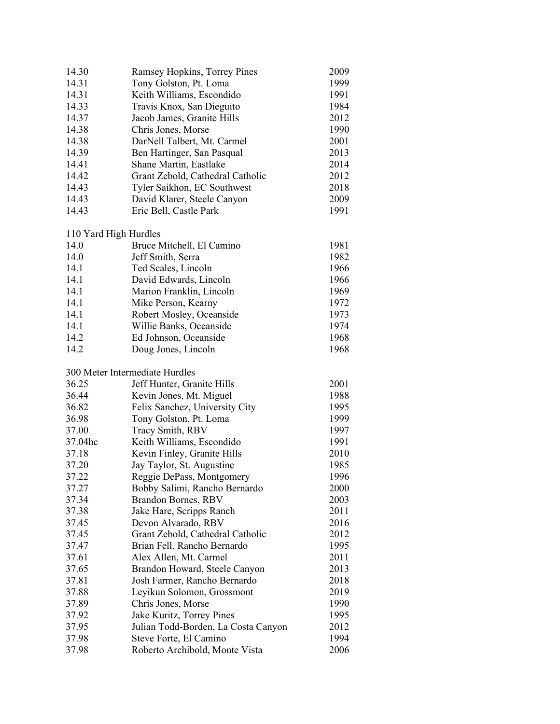| 14.30                 | Ramsey Hopkins, Torrey Pines        | 2009 |
|-----------------------|-------------------------------------|------|
| 14.31                 | Tony Golston, Pt. Loma              | 1999 |
| 14.31                 | Keith Williams, Escondido           | 1991 |
| 14.33                 | Travis Knox, San Dieguito           | 1984 |
| 14.37                 | Jacob James, Granite Hills          | 2012 |
| 14.38                 | Chris Jones, Morse                  | 1990 |
| 14.38                 | DarNell Talbert, Mt. Carmel         | 2001 |
| 14.39                 | Ben Hartinger, San Pasqual          | 2013 |
| 14.41                 | Shane Martin, Eastlake              | 2014 |
| 14.42                 | Grant Zebold, Cathedral Catholic    | 2012 |
| 14.43                 | Tyler Saikhon, EC Southwest         | 2018 |
| 14.43                 | David Klarer, Steele Canyon         | 2009 |
| 14.43                 | Eric Bell, Castle Park              | 1991 |
|                       |                                     |      |
| 110 Yard High Hurdles |                                     |      |
| 14.0                  | Bruce Mitchell, El Camino           | 1981 |
| 14.0                  | Jeff Smith, Serra                   | 1982 |
| 14.1                  | Ted Scales, Lincoln                 | 1966 |
| 14.1                  | David Edwards, Lincoln              | 1966 |
| 14.1                  | Marion Franklin, Lincoln            | 1969 |
| 14.1                  | Mike Person, Kearny                 | 1972 |
| 14.1                  | Robert Mosley, Oceanside            | 1973 |
| 14.1                  | Willie Banks, Oceanside             | 1974 |
| 14.2                  | Ed Johnson, Oceanside               | 1968 |
| 14.2                  | Doug Jones, Lincoln                 | 1968 |
|                       |                                     |      |
|                       | 300 Meter Intermediate Hurdles      |      |
| 36.25                 | Jeff Hunter, Granite Hills          | 2001 |
| 36.44                 | Kevin Jones, Mt. Miguel             | 1988 |
| 36.82                 | Felix Sanchez, University City      | 1995 |
| 36.98                 | Tony Golston, Pt. Loma              | 1999 |
| 37.00                 | Tracy Smith, RBV                    | 1997 |
| 37.04hc               | Keith Williams, Escondido           | 1991 |
| 37.18                 | Kevin Finley, Granite Hills         | 2010 |
| 37.20                 | Jay Taylor, St. Augustine           | 1985 |
| 37.22                 | Reggie DePass, Montgomery           | 1996 |
| 37.27                 | Bobby Salimi, Rancho Bernardo       | 2000 |
| 37.34                 | Brandon Bornes, RBV                 | 2003 |
| 37.38                 | Jake Hare, Scripps Ranch            | 2011 |
| 37.45                 | Devon Alvarado, RBV                 | 2016 |
| 37.45                 | Grant Zebold, Cathedral Catholic    | 2012 |
| 37.47                 | Brian Fell, Rancho Bernardo         | 1995 |
| 37.61                 | Alex Allen, Mt. Carmel              | 2011 |
| 37.65                 | Brandon Howard, Steele Canyon       | 2013 |
| 37.81                 | Josh Farmer, Rancho Bernardo        | 2018 |
| 37.88                 | Leyikun Solomon, Grossmont          | 2019 |
| 37.89                 | Chris Jones, Morse                  | 1990 |
| 37.92                 | Jake Kuritz, Torrey Pines           | 1995 |
| 37.95                 | Julian Todd-Borden, La Costa Canyon | 2012 |
| 37.98                 | Steve Forte, El Camino              | 1994 |
| 37.98                 | Roberto Archibold, Monte Vista      | 2006 |
|                       |                                     |      |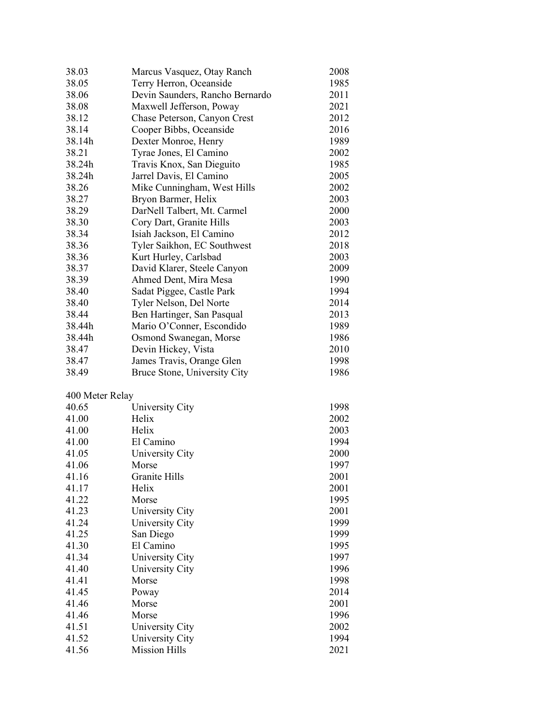| 38.03           | Marcus Vasquez, Otay Ranch      | 2008 |
|-----------------|---------------------------------|------|
| 38.05           | Terry Herron, Oceanside         | 1985 |
| 38.06           | Devin Saunders, Rancho Bernardo | 2011 |
| 38.08           | Maxwell Jefferson, Poway        | 2021 |
| 38.12           | Chase Peterson, Canyon Crest    | 2012 |
| 38.14           | Cooper Bibbs, Oceanside         | 2016 |
| 38.14h          | Dexter Monroe, Henry            | 1989 |
| 38.21           | Tyrae Jones, El Camino          | 2002 |
| 38.24h          | Travis Knox, San Dieguito       | 1985 |
| 38.24h          | Jarrel Davis, El Camino         | 2005 |
| 38.26           | Mike Cunningham, West Hills     | 2002 |
| 38.27           | Bryon Barmer, Helix             | 2003 |
| 38.29           | DarNell Talbert, Mt. Carmel     | 2000 |
| 38.30           | Cory Dart, Granite Hills        | 2003 |
| 38.34           | Isiah Jackson, El Camino        | 2012 |
| 38.36           | Tyler Saikhon, EC Southwest     | 2018 |
| 38.36           | Kurt Hurley, Carlsbad           | 2003 |
| 38.37           | David Klarer, Steele Canyon     | 2009 |
| 38.39           | Ahmed Dent, Mira Mesa           | 1990 |
| 38.40           | Sadat Piggee, Castle Park       | 1994 |
| 38.40           | Tyler Nelson, Del Norte         | 2014 |
| 38.44           | Ben Hartinger, San Pasqual      | 2013 |
| 38.44h          | Mario O'Conner, Escondido       | 1989 |
| 38.44h          | Osmond Swanegan, Morse          | 1986 |
| 38.47           | Devin Hickey, Vista             | 2010 |
| 38.47           | James Travis, Orange Glen       | 1998 |
| 38.49           | Bruce Stone, University City    | 1986 |
| 400 Meter Relay |                                 |      |
| 40.65           | University City                 | 1998 |
| 41.00           | Helix                           | 2002 |
| 41.00           | Helix                           | 2003 |
| 41.00           | El Camino                       | 1994 |
| 41.05           | University City                 | 2000 |
| 41.06           | Morse                           | 1997 |
| 41.16           | <b>Granite Hills</b>            | 2001 |
| 41.17           | Helix                           | 2001 |
| 41.22           | Morse                           | 1995 |
| 41.23           | University City                 | 2001 |
| 41.24           | University City                 | 1999 |
| 41.25           | San Diego                       | 1999 |
| 41.30           | El Camino                       | 1995 |
| 41.34           | University City                 | 1997 |
| 41.40           | University City                 | 1996 |
| 41.41           | Morse                           | 1998 |
| 41.45           | Poway                           | 2014 |

41.46 Morse 2001

41.46 Morse 1996<br>41.51 University City 2002<br>41.52 University City 1994 41.51 University City 2002 41.52 University City 1994 41.56 Mission Hills 2021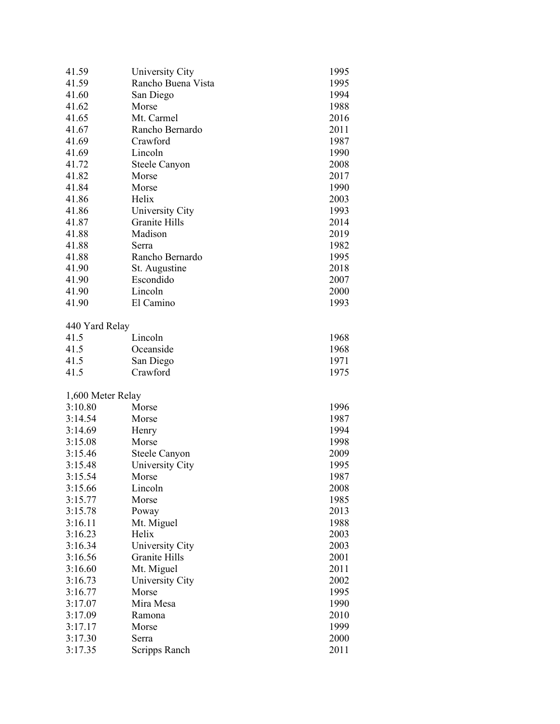| 41.59             | University City      | 1995 |
|-------------------|----------------------|------|
| 41.59             | Rancho Buena Vista   | 1995 |
| 41.60             | San Diego            | 1994 |
| 41.62             | Morse                | 1988 |
| 41.65             | Mt. Carmel           | 2016 |
| 41.67             | Rancho Bernardo      | 2011 |
| 41.69             | Crawford             | 1987 |
| 41.69             | Lincoln              | 1990 |
| 41.72             | <b>Steele Canyon</b> | 2008 |
| 41.82             | Morse                | 2017 |
| 41.84             | Morse                | 1990 |
| 41.86             | Helix                | 2003 |
| 41.86             | University City      | 1993 |
| 41.87             | <b>Granite Hills</b> | 2014 |
|                   | Madison              |      |
| 41.88             |                      | 2019 |
| 41.88             | Serra                | 1982 |
| 41.88             | Rancho Bernardo      | 1995 |
| 41.90             | St. Augustine        | 2018 |
| 41.90             | Escondido            | 2007 |
| 41.90             | Lincoln              | 2000 |
| 41.90             | El Camino            | 1993 |
| 440 Yard Relay    |                      |      |
| 41.5              | Lincoln              | 1968 |
| 41.5              | Oceanside            | 1968 |
| 41.5              | San Diego            | 1971 |
| 41.5              | Crawford             | 1975 |
| 1,600 Meter Relay |                      |      |
| 3:10.80           | Morse                | 1996 |
| 3:14.54           | Morse                | 1987 |
| 3:14.69           | Henry                | 1994 |
| 3:15.08           | Morse                | 1998 |
| 3:15.46           | Steele Canyon        | 2009 |
| 3:15.48           | University City      | 1995 |
| 3:15.54           | Morse                | 1987 |
| 3:15.66           | Lincoln              | 2008 |
| 3:15.77           | Morse                | 1985 |
|                   |                      |      |
| 3:15.78           | Poway                | 2013 |
| 3:16.11           | Mt. Miguel           | 1988 |
| 3:16.23           | Helix                | 2003 |
| 3:16.34           | University City      | 2003 |
| 3:16.56           | <b>Granite Hills</b> | 2001 |
| 3:16.60           | Mt. Miguel           | 2011 |
| 3:16.73           | University City      | 2002 |
| 3:16.77           | Morse                | 1995 |
| 3:17.07           | Mira Mesa            | 1990 |
| 3:17.09           | Ramona               | 2010 |
| 3:17.17           | Morse                | 1999 |
| 3:17.30           | Serra                | 2000 |
| 3:17.35           | Scripps Ranch        | 2011 |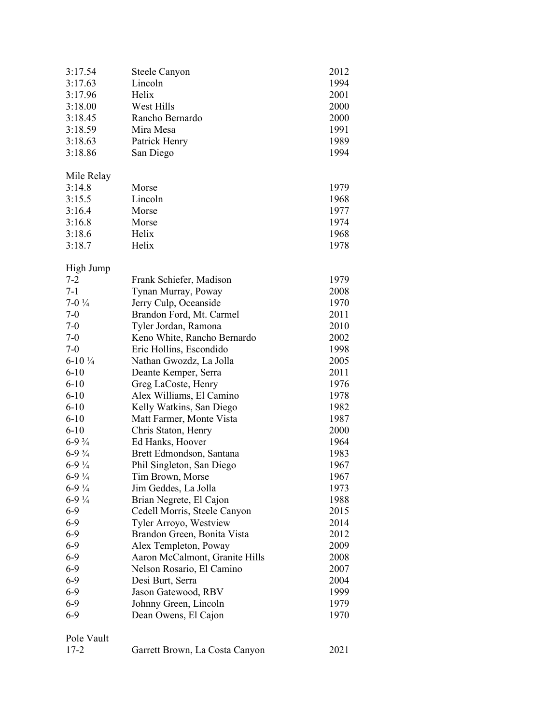| $6-9$             | Dean Owens, El Cajon           | 1970 |
|-------------------|--------------------------------|------|
| $6-9$             | Johnny Green, Lincoln          | 1979 |
| $6-9$             | Jason Gatewood, RBV            | 1999 |
| $6-9$             | Desi Burt, Serra               | 2004 |
| $6 - 9$           | Nelson Rosario, El Camino      | 2007 |
| $6 - 9$           | Aaron McCalmont, Granite Hills | 2008 |
| $6-9$             | Alex Templeton, Poway          | 2009 |
| $6 - 9$           | Brandon Green, Bonita Vista    | 2012 |
| $6-9$             | Tyler Arroyo, Westview         | 2014 |
| $6-9$             | Cedell Morris, Steele Canyon   | 2015 |
| $6-9\frac{1}{4}$  | Brian Negrete, El Cajon        | 1988 |
| $6-9\frac{1}{4}$  | Jim Geddes, La Jolla           | 1973 |
| $6-9\frac{1}{4}$  | Tim Brown, Morse               | 1967 |
| $6-9\frac{1}{4}$  | Phil Singleton, San Diego      | 1967 |
| $6-9\frac{3}{4}$  | Brett Edmondson, Santana       | 1983 |
| $6-9\frac{3}{4}$  | Ed Hanks, Hoover               | 1964 |
| $6-10$            | Chris Staton, Henry            | 2000 |
| $6 - 10$          | Matt Farmer, Monte Vista       | 1987 |
| $6 - 10$          | Kelly Watkins, San Diego       | 1982 |
| $6 - 10$          | Alex Williams, El Camino       | 1978 |
| $6 - 10$          | Greg LaCoste, Henry            | 1976 |
| $6 - 10$          | Deante Kemper, Serra           | 2011 |
| $6-10\frac{1}{4}$ | Nathan Gwozdz, La Jolla        | 2005 |
| $7-0$             | Eric Hollins, Escondido        | 1998 |
| $7-0$             | Keno White, Rancho Bernardo    | 2002 |
| $7-0$             | Tyler Jordan, Ramona           | 2010 |
| $7-0$             | Brandon Ford, Mt. Carmel       | 2011 |
| $7-01/4$          | Jerry Culp, Oceanside          | 1970 |
| $7-1$             | Tynan Murray, Poway            | 2008 |
| $7 - 2$           | Frank Schiefer, Madison        | 1979 |
| High Jump         |                                |      |
|                   |                                |      |
| 3:18.7            | Helix                          | 1978 |
| 3:18.6            | Helix                          | 1968 |
| 3:16.8            | Morse                          | 1974 |
| 3:16.4            | Morse                          | 1977 |
| 3:15.5            | Lincoln                        | 1968 |
| 3:14.8            | Morse                          | 1979 |
| Mile Relay        |                                |      |
|                   |                                |      |
| 3:18.86           | San Diego                      | 1994 |
| 3:18.63           | Patrick Henry                  | 1989 |
| 3:18.59           | Mira Mesa                      | 1991 |
| 3:18.45           | Rancho Bernardo                | 2000 |
| 3:18.00           | West Hills                     | 2000 |
| 3:17.96           | Helix                          | 2001 |
| 3:17.63           | Lincoln                        | 1994 |
| 3:17.54           | <b>Steele Canyon</b>           | 2012 |

| $17-2$ | Garrett Brown, La Costa Canyon | 2021 |
|--------|--------------------------------|------|
|--------|--------------------------------|------|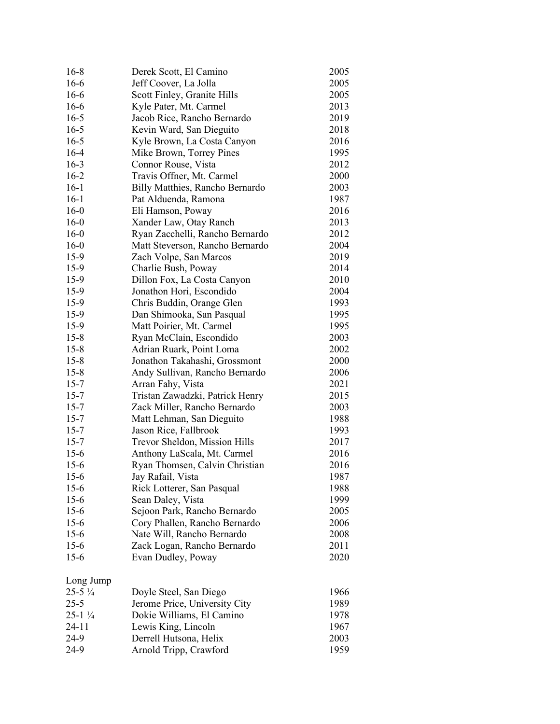| $16 - 8$            | Derek Scott, El Camino          | 2005 |
|---------------------|---------------------------------|------|
| $16-6$              | Jeff Coover, La Jolla           | 2005 |
| $16-6$              | Scott Finley, Granite Hills     | 2005 |
| $16-6$              | Kyle Pater, Mt. Carmel          | 2013 |
| $16-5$              | Jacob Rice, Rancho Bernardo     | 2019 |
| $16 - 5$            | Kevin Ward, San Dieguito        | 2018 |
| $16 - 5$            | Kyle Brown, La Costa Canyon     | 2016 |
| $16-4$              | Mike Brown, Torrey Pines        | 1995 |
| $16-3$              | Connor Rouse, Vista             | 2012 |
| $16-2$              | Travis Offner, Mt. Carmel       | 2000 |
| $16-1$              | Billy Matthies, Rancho Bernardo | 2003 |
| $16-1$              | Pat Alduenda, Ramona            | 1987 |
| $16-0$              | Eli Hamson, Poway               | 2016 |
| $16-0$              | Xander Law, Otay Ranch          | 2013 |
| $16-0$              | Ryan Zacchelli, Rancho Bernardo | 2012 |
| $16-0$              | Matt Steverson, Rancho Bernardo | 2004 |
| $15-9$              | Zach Volpe, San Marcos          | 2019 |
| $15-9$              | Charlie Bush, Poway             | 2014 |
| $15-9$              | Dillon Fox, La Costa Canyon     | 2010 |
| $15-9$              | Jonathon Hori, Escondido        | 2004 |
| $15-9$              |                                 | 1993 |
|                     | Chris Buddin, Orange Glen       |      |
| $15-9$              | Dan Shimooka, San Pasqual       | 1995 |
| $15-9$              | Matt Poirier, Mt. Carmel        | 1995 |
| $15 - 8$            | Ryan McClain, Escondido         | 2003 |
| $15 - 8$            | Adrian Ruark, Point Loma        | 2002 |
| $15 - 8$            | Jonathon Takahashi, Grossmont   | 2000 |
| $15 - 8$            | Andy Sullivan, Rancho Bernardo  | 2006 |
| $15 - 7$            | Arran Fahy, Vista               | 2021 |
| $15 - 7$            | Tristan Zawadzki, Patrick Henry | 2015 |
| $15 - 7$            | Zack Miller, Rancho Bernardo    | 2003 |
| $15 - 7$            | Matt Lehman, San Dieguito       | 1988 |
| $15 - 7$            | Jason Rice, Fallbrook           | 1993 |
| $15 - 7$            | Trevor Sheldon, Mission Hills   | 2017 |
| $15-6$              | Anthony LaScala, Mt. Carmel     | 2016 |
| $15-6$              | Ryan Thomsen, Calvin Christian  | 2016 |
| $15-6$              | Jay Rafail, Vista               | 1987 |
| $15-6$              | Rick Lotterer, San Pasqual      | 1988 |
| $15-6$              | Sean Daley, Vista               | 1999 |
| $15-6$              | Sejoon Park, Rancho Bernardo    | 2005 |
| $15-6$              | Cory Phallen, Rancho Bernardo   | 2006 |
| $15-6$              | Nate Will, Rancho Bernardo      | 2008 |
| $15-6$              | Zack Logan, Rancho Bernardo     | 2011 |
| $15-6$              | Evan Dudley, Poway              | 2020 |
| Long Jump           |                                 |      |
| $25 - 5\frac{1}{4}$ | Doyle Steel, San Diego          | 1966 |
| $25 - 5$            | Jerome Price, University City   | 1989 |
| $25-1\frac{1}{4}$   | Dokie Williams, El Camino       | 1978 |
| $24 - 11$           | Lewis King, Lincoln             | 1967 |
| 24-9                | Derrell Hutsona, Helix          | 2003 |
| $24-9$              | Arnold Tripp, Crawford          | 1959 |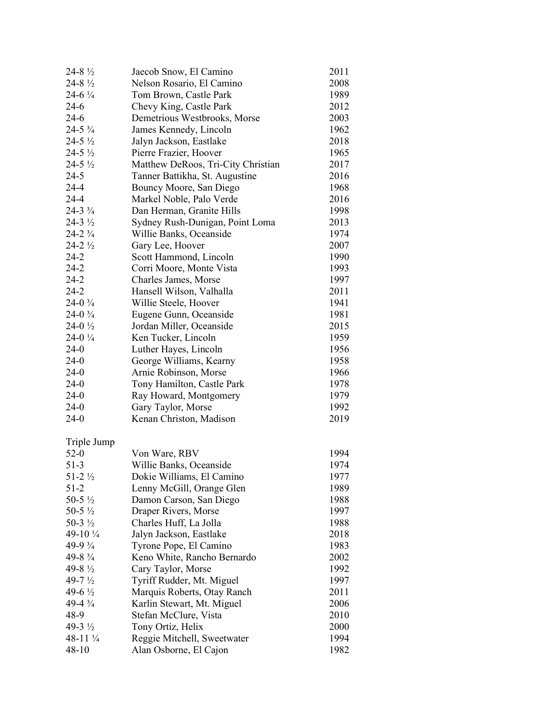| $24 - 8\frac{1}{2}$ | Jaecob Snow, El Camino                           | 2011 |
|---------------------|--------------------------------------------------|------|
| $24 - 8\frac{1}{2}$ | Nelson Rosario, El Camino                        | 2008 |
| $24-6\frac{1}{4}$   | Tom Brown, Castle Park                           | 1989 |
| $24-6$              | Chevy King, Castle Park                          | 2012 |
| $24-6$              | Demetrious Westbrooks, Morse                     | 2003 |
| $24 - 5\frac{3}{4}$ | James Kennedy, Lincoln                           | 1962 |
| $24 - 5\frac{1}{2}$ | Jalyn Jackson, Eastlake                          | 2018 |
| $24 - 5\frac{1}{2}$ | Pierre Frazier, Hoover                           | 1965 |
| $24 - 5\frac{1}{2}$ | Matthew DeRoos, Tri-City Christian               | 2017 |
| $24 - 5$            | Tanner Battikha, St. Augustine                   | 2016 |
| $24 - 4$            | Bouncy Moore, San Diego                          | 1968 |
| $24 - 4$            | Markel Noble, Palo Verde                         | 2016 |
| $24-3\frac{3}{4}$   | Dan Herman, Granite Hills                        | 1998 |
| $24 - 3\frac{1}{2}$ | Sydney Rush-Dunigan, Point Loma                  | 2013 |
| $24 - 2\frac{3}{4}$ | Willie Banks, Oceanside                          | 1974 |
| $24 - 2\frac{1}{2}$ | Gary Lee, Hoover                                 | 2007 |
| $24 - 2$            | Scott Hammond, Lincoln                           | 1990 |
| $24 - 2$            | Corri Moore, Monte Vista                         | 1993 |
| $24 - 2$            | Charles James, Morse                             | 1997 |
| $24 - 2$            | Hansell Wilson, Valhalla                         | 2011 |
| $24-0.3/4$          | Willie Steele, Hoover                            | 1941 |
| $24-0.3/4$          | Eugene Gunn, Oceanside                           | 1981 |
| $24-0\frac{1}{2}$   | Jordan Miller, Oceanside                         | 2015 |
| $24-0\frac{1}{4}$   | Ken Tucker, Lincoln                              | 1959 |
| $24-0$              |                                                  | 1956 |
| $24-0$              | Luther Hayes, Lincoln<br>George Williams, Kearny | 1958 |
| $24-0$              |                                                  | 1966 |
| $24-0$              | Arnie Robinson, Morse                            |      |
|                     | Tony Hamilton, Castle Park                       | 1978 |
| $24-0$              | Ray Howard, Montgomery                           | 1979 |
| $24-0$              | Gary Taylor, Morse                               | 1992 |
| $24-0$              | Kenan Christon, Madison                          | 2019 |
| Triple Jump         |                                                  |      |
| $52-0$              | Von Ware, RBV                                    | 1994 |
| $51-3$              | Willie Banks, Oceanside                          | 1974 |
| $51-2\frac{1}{2}$   | Dokie Williams, El Camino                        | 1977 |
| $51-2$              | Lenny McGill, Orange Glen                        | 1989 |
| $50 - 5\frac{1}{2}$ | Damon Carson, San Diego                          | 1988 |
| 50-5 $\frac{1}{2}$  | Draper Rivers, Morse                             | 1997 |
| 50-3 $\frac{1}{2}$  | Charles Huff, La Jolla                           | 1988 |
| 49-10 $\frac{1}{4}$ | Jalyn Jackson, Eastlake                          | 2018 |
| $49-93/4$           | Tyrone Pope, El Camino                           | 1983 |
| $49 - 8\frac{3}{4}$ | Keno White, Rancho Bernardo                      | 2002 |
| 49-8 1/2            | Cary Taylor, Morse                               | 1992 |
| 49-7 $\frac{1}{2}$  | Tyriff Rudder, Mt. Miguel                        | 1997 |
| 49-6 $\frac{1}{2}$  | Marquis Roberts, Otay Ranch                      | 2011 |
| $49-4\frac{3}{4}$   | Karlin Stewart, Mt. Miguel                       | 2006 |
| 48-9                | Stefan McClure, Vista                            | 2010 |
| 49-3 $\frac{1}{2}$  | Tony Ortiz, Helix                                | 2000 |
| $48-11\frac{1}{4}$  | Reggie Mitchell, Sweetwater                      | 1994 |
| $48 - 10$           | Alan Osborne, El Cajon                           | 1982 |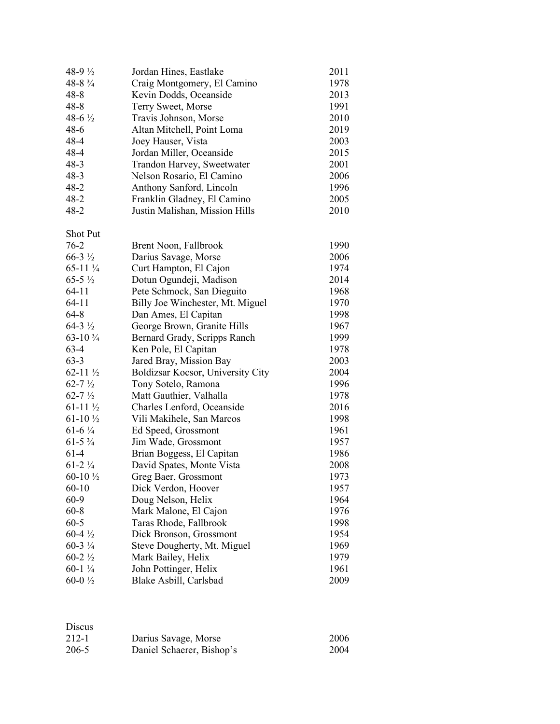| 48-9 $\frac{1}{2}$   | Jordan Hines, Eastlake            | 2011 |
|----------------------|-----------------------------------|------|
| $48 - 8\frac{3}{4}$  | Craig Montgomery, El Camino       | 1978 |
| $48 - 8$             | Kevin Dodds, Oceanside            | 2013 |
| $48 - 8$             | Terry Sweet, Morse                | 1991 |
| 48-6 $\frac{1}{2}$   | Travis Johnson, Morse             | 2010 |
| $48-6$               | Altan Mitchell, Point Loma        | 2019 |
| $48 - 4$             | Joey Hauser, Vista                | 2003 |
| $48 - 4$             | Jordan Miller, Oceanside          | 2015 |
| $48 - 3$             | Trandon Harvey, Sweetwater        | 2001 |
| $48 - 3$             | Nelson Rosario, El Camino         | 2006 |
| $48 - 2$             | Anthony Sanford, Lincoln          | 1996 |
| $48 - 2$             | Franklin Gladney, El Camino       | 2005 |
| $48 - 2$             | Justin Malishan, Mission Hills    | 2010 |
| <b>Shot Put</b>      |                                   |      |
| $76 - 2$             | Brent Noon, Fallbrook             | 1990 |
| $66-3\frac{1}{2}$    | Darius Savage, Morse              | 2006 |
| $65-11\frac{1}{4}$   | Curt Hampton, El Cajon            | 1974 |
| $65-5\frac{1}{2}$    | Dotun Ogundeji, Madison           | 2014 |
| $64 - 11$            | Pete Schmock, San Dieguito        | 1968 |
| $64 - 11$            | Billy Joe Winchester, Mt. Miguel  | 1970 |
| $64 - 8$             | Dan Ames, El Capitan              | 1998 |
| $64-3\frac{1}{2}$    | George Brown, Granite Hills       | 1967 |
| $63-10\frac{3}{4}$   | Bernard Grady, Scripps Ranch      | 1999 |
| $63 - 4$             | Ken Pole, El Capitan              | 1978 |
| $63-3$               | Jared Bray, Mission Bay           | 2003 |
| $62 - 11\frac{1}{2}$ | Boldizsar Kocsor, University City | 2004 |
| $62 - 7\frac{1}{2}$  | Tony Sotelo, Ramona               | 1996 |
| $62 - 7\frac{1}{2}$  | Matt Gauthier, Valhalla           | 1978 |
| $61-11\frac{1}{2}$   | Charles Lenford, Oceanside        | 2016 |
| $61-10\frac{1}{2}$   | Vili Makihele, San Marcos         | 1998 |
| $61-6\frac{1}{4}$    | Ed Speed, Grossmont               | 1961 |
| $61-5\frac{3}{4}$    | Jim Wade, Grossmont               | 1957 |
| $61-4$               | Brian Boggess, El Capitan         | 1986 |
| $61-2\frac{1}{4}$    | David Spates, Monte Vista         | 2008 |
| $60-10\frac{1}{2}$   | Greg Baer, Grossmont              | 1973 |
| 60-10                | Dick Verdon, Hoover               | 1957 |
| $60-9$               | Doug Nelson, Helix                | 1964 |
| $60 - 8$             | Mark Malone, El Cajon             | 1976 |
| $60 - 5$             | Taras Rhode, Fallbrook            | 1998 |
| $60-4\frac{1}{2}$    | Dick Bronson, Grossmont           | 1954 |
| $60 - 3\frac{1}{4}$  | Steve Dougherty, Mt. Miguel       | 1969 |
| $60-2\frac{1}{2}$    | Mark Bailey, Helix                | 1979 |
| $60-1\frac{1}{4}$    | John Pottinger, Helix             | 1961 |
| 60-0 $\frac{1}{2}$   | Blake Asbill, Carlsbad            | 2009 |

| Discus |                           |      |
|--------|---------------------------|------|
| 212-1  | Darius Savage, Morse      | 2006 |
| 206-5  | Daniel Schaerer, Bishop's | 2004 |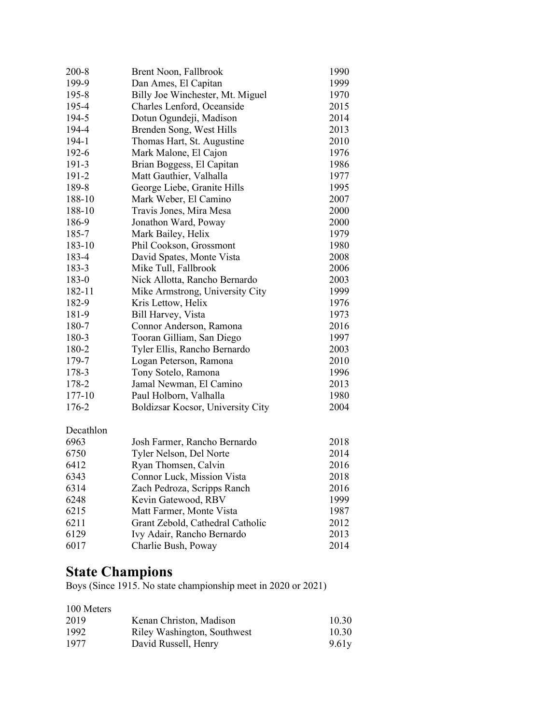| $200 - 8$ | Brent Noon, Fallbrook             | 1990 |
|-----------|-----------------------------------|------|
| 199-9     | Dan Ames, El Capitan              | 1999 |
| 195-8     | Billy Joe Winchester, Mt. Miguel  | 1970 |
| 195-4     | Charles Lenford, Oceanside        | 2015 |
| 194-5     | Dotun Ogundeji, Madison           | 2014 |
| 194-4     | Brenden Song, West Hills          | 2013 |
| 194-1     | Thomas Hart, St. Augustine        | 2010 |
| 192-6     | Mark Malone, El Cajon             | 1976 |
| 191-3     | Brian Boggess, El Capitan         | 1986 |
| 191-2     | Matt Gauthier, Valhalla           | 1977 |
| 189-8     | George Liebe, Granite Hills       | 1995 |
| 188-10    | Mark Weber, El Camino             | 2007 |
| 188-10    | Travis Jones, Mira Mesa           | 2000 |
| 186-9     | Jonathon Ward, Poway              | 2000 |
| 185-7     | Mark Bailey, Helix                | 1979 |
| 183-10    | Phil Cookson, Grossmont           | 1980 |
| 183-4     | David Spates, Monte Vista         | 2008 |
| 183-3     | Mike Tull, Fallbrook              | 2006 |
| 183-0     | Nick Allotta, Rancho Bernardo     | 2003 |
| 182-11    | Mike Armstrong, University City   | 1999 |
| 182-9     | Kris Lettow, Helix                | 1976 |
| 181-9     | Bill Harvey, Vista                | 1973 |
| 180-7     | Connor Anderson, Ramona           | 2016 |
| 180-3     | Tooran Gilliam, San Diego         | 1997 |
| 180-2     | Tyler Ellis, Rancho Bernardo      | 2003 |
| 179-7     | Logan Peterson, Ramona            | 2010 |
| 178-3     | Tony Sotelo, Ramona               | 1996 |
| 178-2     | Jamal Newman, El Camino           | 2013 |
| 177-10    | Paul Holborn, Valhalla            | 1980 |
| 176-2     | Boldizsar Kocsor, University City | 2004 |
| Decathlon |                                   |      |
| 6963      | Josh Farmer, Rancho Bernardo      | 2018 |
| 6750      | Tyler Nelson, Del Norte           | 2014 |
| 6412      | Ryan Thomsen, Calvin              | 2016 |
| 6343      | Connor Luck, Mission Vista        | 2018 |
| 6314      | Zach Pedroza, Scripps Ranch       | 2016 |
| 6248      | Kevin Gatewood, RBV               | 1999 |
| 6215      | Matt Farmer, Monte Vista          | 1987 |
| 6211      | Grant Zebold, Cathedral Catholic  | 2012 |
| 6129      | Ivy Adair, Rancho Bernardo        | 2013 |
| 6017      | Charlie Bush, Poway               | 2014 |

### **State Champions**

Boys (Since 1915. No state championship meet in 2020 or 2021)

#### 100 Meters

| 2019 | Kenan Christon, Madison     | 10.30 |
|------|-----------------------------|-------|
| 1992 | Riley Washington, Southwest | 10.30 |
| 1977 | David Russell, Henry        | 9.61y |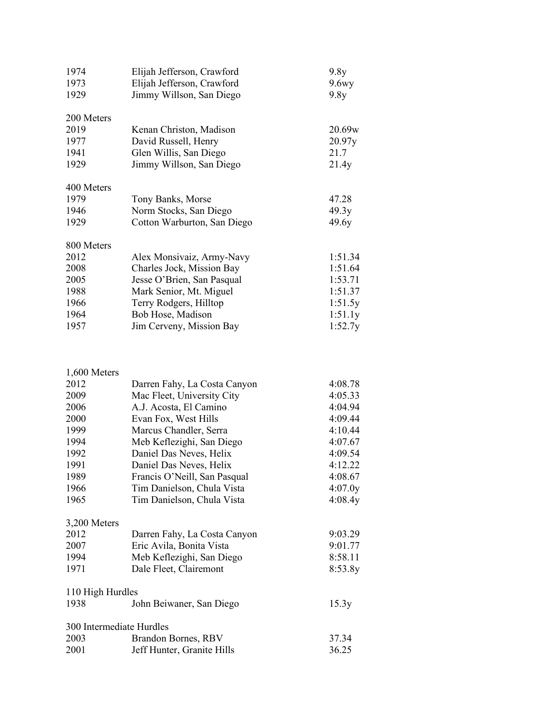| 1974       | Elijah Jefferson, Crawford  | 9.8y               |
|------------|-----------------------------|--------------------|
| 1973       | Elijah Jefferson, Crawford  | 9.6wy              |
| 1929       | Jimmy Willson, San Diego    | 9.8y               |
| 200 Meters |                             |                    |
| 2019       | Kenan Christon, Madison     | 20.69 <sub>w</sub> |
| 1977       | David Russell, Henry        | 20.97y             |
| 1941       | Glen Willis, San Diego      | 21.7               |
| 1929       | Jimmy Willson, San Diego    | 21.4y              |
| 400 Meters |                             |                    |
| 1979       | Tony Banks, Morse           | 47.28              |
| 1946       | Norm Stocks, San Diego      | 49.3y              |
| 1929       | Cotton Warburton, San Diego | 49.6y              |
| 800 Meters |                             |                    |
| 2012       | Alex Monsivaiz, Army-Navy   | 1:51.34            |
| 2008       | Charles Jock, Mission Bay   | 1:51.64            |
| 2005       | Jesse O'Brien, San Pasqual  | 1:53.71            |
| 1988       | Mark Senior, Mt. Miguel     | 1:51.37            |
| 1966       | Terry Rodgers, Hilltop      | 1:51.5y            |
| 1964       | Bob Hose, Madison           | 1:51.1y            |
| 1957       | Jim Cerveny, Mission Bay    | 1:52.7y            |

### 1,600 Meters

| 2012                     | Darren Fahy, La Costa Canyon | 4:08.78 |
|--------------------------|------------------------------|---------|
| 2009                     | Mac Fleet, University City   | 4:05.33 |
| 2006                     | A.J. Acosta, El Camino       | 4:04.94 |
| 2000                     | Evan Fox, West Hills         | 4:09.44 |
| 1999                     | Marcus Chandler, Serra       | 4:10.44 |
| 1994                     | Meb Keflezighi, San Diego    | 4:07.67 |
| 1992                     | Daniel Das Neves, Helix      | 4:09.54 |
| 1991                     | Daniel Das Neves, Helix      | 4:12.22 |
| 1989                     | Francis O'Neill, San Pasqual | 4:08.67 |
| 1966                     | Tim Danielson, Chula Vista   | 4:07.0y |
| 1965                     | Tim Danielson, Chula Vista   | 4:08.4y |
|                          |                              |         |
| 3,200 Meters             |                              |         |
| 2012                     | Darren Fahy, La Costa Canyon | 9:03.29 |
| 2007                     | Eric Avila, Bonita Vista     | 9:01.77 |
| 1994                     | Meb Keflezighi, San Diego    | 8:58.11 |
| 1971                     | Dale Fleet, Clairemont       | 8:53.8y |
|                          |                              |         |
| 110 High Hurdles         |                              |         |
| 1938                     | John Beiwaner, San Diego     | 15.3y   |
|                          |                              |         |
| 300 Intermediate Hurdles |                              |         |
| 2003                     | Brandon Bornes, RBV          | 37.34   |
| 2001                     | Jeff Hunter, Granite Hills   | 36.25   |
|                          |                              |         |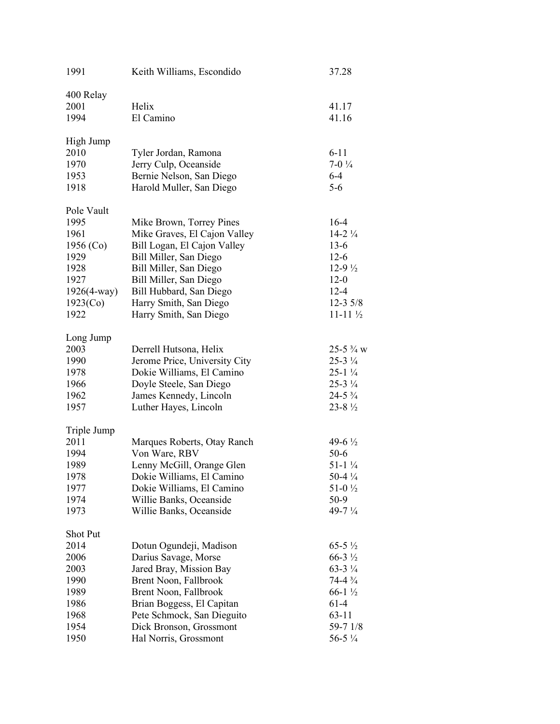| 1991            | Keith Williams, Escondido     | 37.28                |
|-----------------|-------------------------------|----------------------|
| 400 Relay       |                               |                      |
| 2001            | Helix                         | 41.17                |
| 1994            | El Camino                     | 41.16                |
| High Jump       |                               |                      |
| 2010            | Tyler Jordan, Ramona          | $6 - 11$             |
| 1970            | Jerry Culp, Oceanside         | $7-01/4$             |
| 1953            | Bernie Nelson, San Diego      | $6-4$                |
| 1918            | Harold Muller, San Diego      | $5 - 6$              |
| Pole Vault      |                               |                      |
| 1995            | Mike Brown, Torrey Pines      | $16-4$               |
| 1961            | Mike Graves, El Cajon Valley  | $14-21/4$            |
| 1956 $(Co)$     | Bill Logan, El Cajon Valley   | $13-6$               |
| 1929            | Bill Miller, San Diego        | $12-6$               |
| 1928            | Bill Miller, San Diego        | $12-9\frac{1}{2}$    |
| 1927            | Bill Miller, San Diego        | $12-0$               |
| $1926(4$ -way)  | Bill Hubbard, San Diego       | $12 - 4$             |
| 1923(Co)        | Harry Smith, San Diego        | $12 - 3 \frac{5}{8}$ |
| 1922            | Harry Smith, San Diego        | $11-11\frac{1}{2}$   |
| Long Jump       |                               |                      |
| 2003            | Derrell Hutsona, Helix        | 25-5 $\frac{3}{4}$ w |
| 1990            | Jerome Price, University City | $25 - 3\frac{1}{4}$  |
| 1978            | Dokie Williams, El Camino     | $25-1\frac{1}{4}$    |
| 1966            | Doyle Steele, San Diego       | $25 - 3\frac{1}{4}$  |
| 1962            | James Kennedy, Lincoln        | $24 - 5\frac{3}{4}$  |
| 1957            | Luther Hayes, Lincoln         | $23 - 8\frac{1}{2}$  |
| Triple Jump     |                               |                      |
| 2011            | Marques Roberts, Otay Ranch   | 49-6 $\frac{1}{2}$   |
| 1994            | Von Ware, RBV                 | $50-6$               |
| 1989            | Lenny McGill, Orange Glen     | $51-1\frac{1}{4}$    |
| 1978            | Dokie Williams, El Camino     | $50-4\frac{1}{4}$    |
| 1977            | Dokie Williams, El Camino     | $51-0\frac{1}{2}$    |
| 1974            | Willie Banks, Oceanside       | $50-9$               |
| 1973            | Willie Banks, Oceanside       | $49-71/4$            |
| <b>Shot Put</b> |                               |                      |
| 2014            | Dotun Ogundeji, Madison       | $65-5\frac{1}{2}$    |
| 2006            | Darius Savage, Morse          | $66-3\frac{1}{2}$    |
| 2003            | Jared Bray, Mission Bay       | $63-3\frac{1}{4}$    |
| 1990            | Brent Noon, Fallbrook         | $74-43/4$            |
| 1989            | Brent Noon, Fallbrook         | $66-1\frac{1}{2}$    |
| 1986            | Brian Boggess, El Capitan     | $61-4$               |
| 1968            | Pete Schmock, San Dieguito    | $63 - 11$            |
| 1954            | Dick Bronson, Grossmont       | 59-7 1/8             |
| 1950            | Hal Norris, Grossmont         | $56-5\frac{1}{4}$    |